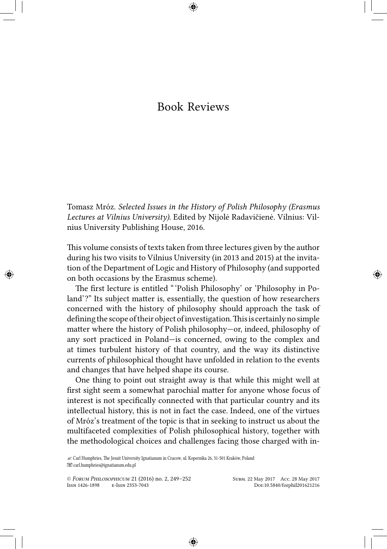## Book Reviews

Tomasz Mróz. *Selected Issues in the History of Polish Philosophy (Erasmus Lectures at Vilnius University)*. Edited by Nijolė Radavičienė. Vilnius: Vilnius University Publishing House, 2016.

This volume consists of texts taken from three lectures given by the author during his two visits to Vilnius University (in 2013 and 2015) at the invitation of the Department of Logic and History of Philosophy (and supported on both occasions by the Erasmus scheme).

The first lecture is entitled " 'Polish Philosophy' or 'Philosophy in Poland'?" Its subject matter is, essentially, the question of how researchers concerned with the history of philosophy should approach the task of defining the scope of their object of investigation. This is certainly no simple matter where the history of Polish philosophy—or, indeed, philosophy of any sort practiced in Poland—is concerned, owing to the complex and at times turbulent history of that country, and the way its distinctive currents of philosophical thought have unfolded in relation to the events and changes that have helped shape its course.

One thing to point out straight away is that while this might well at first sight seem a somewhat parochial matter for anyone whose focus of interest is not specifically connected with that particular country and its intellectual history, this is not in fact the case. Indeed, one of the virtues of Mróz's treatment of the topic is that in seeking to instruct us about the multifaceted complexities of Polish philosophical history, together with the methodological choices and challenges facing those charged with in-

<sup>✍</sup> Carl Humphries, The Jesuit University Ignatianum in Cracow, ul. Kopernika 26, 31-501 Kraków, Poland carl.humphries@ignatianum.edu.pl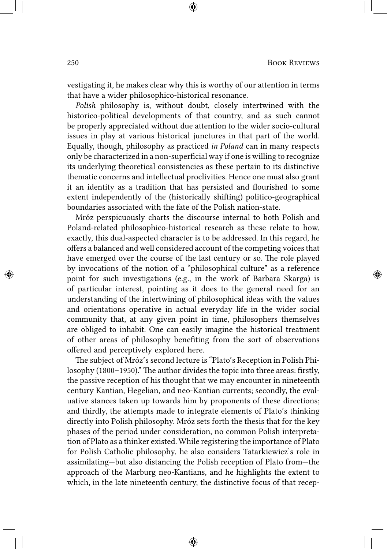vestigating it, he makes clear why this is worthy of our attention in terms that have a wider philosophico-historical resonance.

*Polish* philosophy is, without doubt, closely intertwined with the historico-political developments of that country, and as such cannot be properly appreciated without due attention to the wider socio-cultural issues in play at various historical junctures in that part of the world. Equally, though, philosophy as practiced *in Poland* can in many respects only be characterized in a non-superficial way if one is willing to recognize its underlying theoretical consistencies as these pertain to its distinctive thematic concerns and intellectual proclivities. Hence one must also grant it an identity as a tradition that has persisted and flourished to some extent independently of the (historically shifting) politico-geographical boundaries associated with the fate of the Polish nation-state.

Mróz perspicuously charts the discourse internal to both Polish and Poland-related philosophico-historical research as these relate to how, exactly, this dual-aspected character is to be addressed. In this regard, he offers a balanced and well considered account of the competing voices that have emerged over the course of the last century or so. The role played by invocations of the notion of a "philosophical culture" as a reference point for such investigations (e.g., in the work of Barbara Skarga) is of particular interest, pointing as it does to the general need for an understanding of the intertwining of philosophical ideas with the values and orientations operative in actual everyday life in the wider social community that, at any given point in time, philosophers themselves are obliged to inhabit. One can easily imagine the historical treatment of other areas of philosophy benefiting from the sort of observations offered and perceptively explored here.

The subject of Mróz's second lecture is "Plato's Reception in Polish Philosophy (1800–1950)." The author divides the topic into three areas: firstly, the passive reception of his thought that we may encounter in nineteenth century Kantian, Hegelian, and neo-Kantian currents; secondly, the evaluative stances taken up towards him by proponents of these directions; and thirdly, the attempts made to integrate elements of Plato's thinking directly into Polish philosophy. Mróz sets forth the thesis that for the key phases of the period under consideration, no common Polish interpretation of Plato as a thinker existed. While registering the importance of Plato for Polish Catholic philosophy, he also considers Tatarkiewicz's role in assimilating—but also distancing the Polish reception of Plato from—the approach of the Marburg neo-Kantians, and he highlights the extent to which, in the late nineteenth century, the distinctive focus of that recep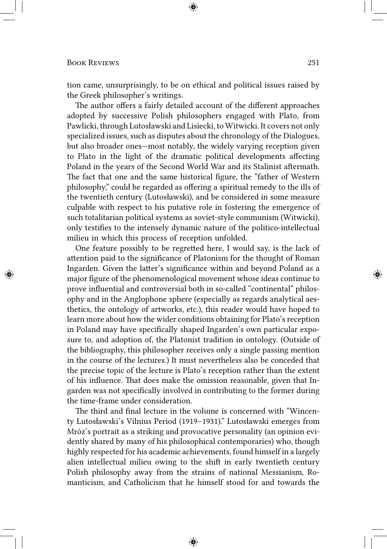tion came, unsurprisingly, to be on ethical and political issues raised by the Greek philosopher's writings.

The author offers a fairly detailed account of the different approaches adopted by successive Polish philosophers engaged with Plato, from Pawlicki, through Lutosławski and Lisiecki, to Witwicki. It covers not only specialized issues, such as disputes about the chronology of the Dialogues, but also broader ones—most notably, the widely varying reception given to Plato in the light of the dramatic political developments affecting Poland in the years of the Second World War and its Stalinist aftermath. The fact that one and the same historical figure, the "father of Western philosophy," could be regarded as offering a spiritual remedy to the ills of the twentieth century (Lutosławski), and be considered in some measure culpable with respect to his putative role in fostering the emergence of such totalitarian political systems as soviet-style communism (Witwicki), only testifies to the intensely dynamic nature of the politico-intellectual milieu in which this process of reception unfolded.

One feature possibly to be regretted here, I would say, is the lack of attention paid to the significance of Platonism for the thought of Roman Ingarden. Given the latter's significance within and beyond Poland as a major figure of the phenomenological movement whose ideas continue to prove influential and controversial both in so-called "continental" philosophy and in the Anglophone sphere (especially as regards analytical aesthetics, the ontology of artworks, etc.), this reader would have hoped to learn more about how the wider conditions obtaining for Plato's reception in Poland may have specifically shaped Ingarden's own particular exposure to, and adoption of, the Platonist tradition in ontology. (Outside of the bibliography, this philosopher receives only a single passing mention in the course of the lectures.) It must nevertheless also be conceded that the precise topic of the lecture is Plato's reception rather than the extent of his influence. That does make the omission reasonable, given that Ingarden was not specifically involved in contributing to the former during the time-frame under consideration.

The third and final lecture in the volume is concerned with "Wincenty Lutosławski's Vilnius Period (1919–1931)." Lutosławski emerges from Mróz's portrait as a striking and provocative personality (an opinion evidently shared by many of his philosophical contemporaries) who, though highly respected for his academic achievements, found himself in a largely alien intellectual milieu owing to the shift in early twentieth century Polish philosophy away from the strains of national Messianism, Romanticism, and Catholicism that he himself stood for and towards the